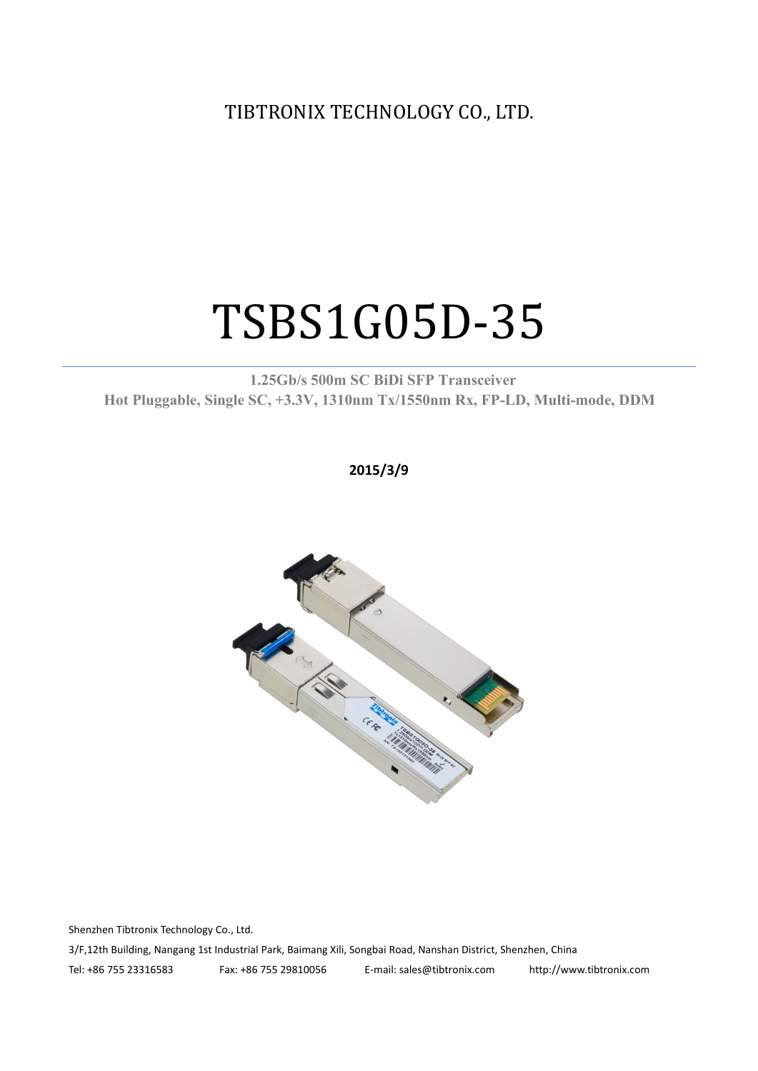TIBTRONIX TECHNOLOGY CO., LTD.

# TSBS1G05D-35

**1.25Gb/s 500m SC BiDi SFP Transceiver Hot Pluggable, Single SC, +3.3V, 1310nm Tx/1550nm Rx, FP-LD, Multi-mode, DDM**

**2015/3/9**



Shenzhen Tibtronix Technology Co., Ltd. 3/F,12th Building, Nangang 1st Industrial Park, Baimang Xili, Songbai Road, Nanshan District, Shenzhen, China Tel: +86 755 23316583 Fax: +86 755 29810056 E-mail: sales@tibtronix.com http://www.tibtronix.com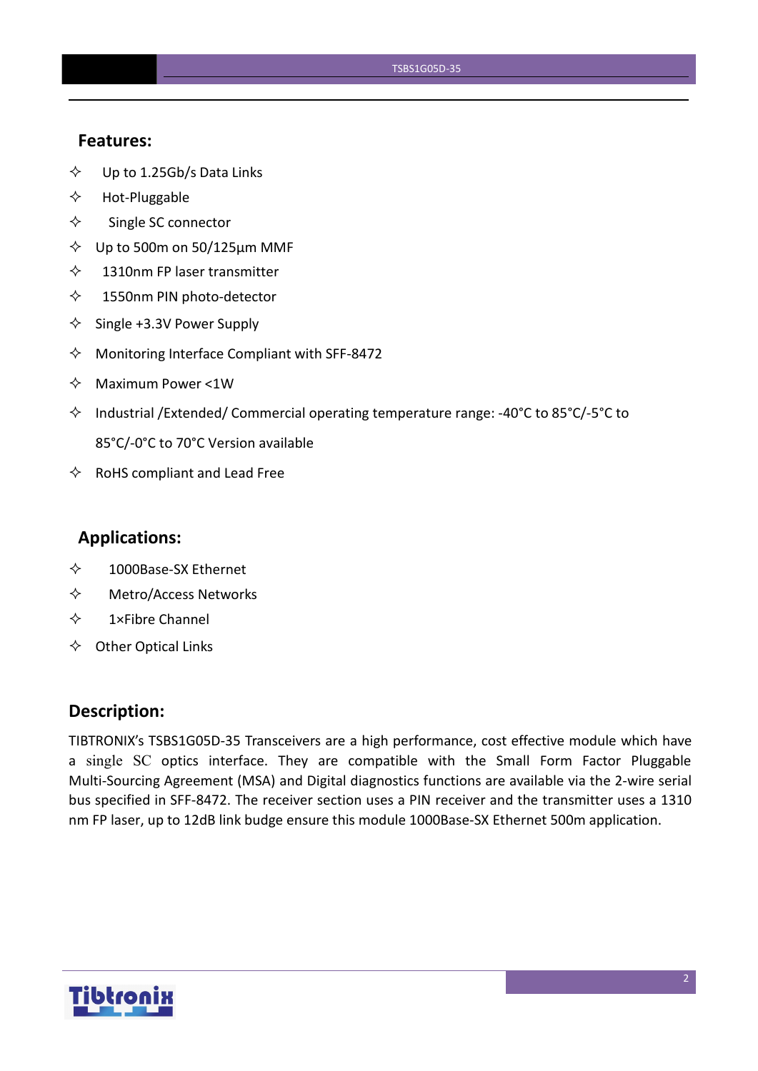#### **Features:**

- $\diamond$  Up to 1.25Gb/s Data Links
- $\Leftrightarrow$  Hot-Pluggable
- $\Leftrightarrow$  Single SC connector
- $\diamond$  Up to 500m on 50/125 $\mu$ m MMF
- $\diamond$  1310nm FP laser transmitter
- 1550nm PIN photo-detector
- $\diamond$  Single +3.3V Power Supply
- $\Diamond$  Monitoring Interface Compliant with SFF-8472
- $\Leftrightarrow$  Maximum Power <1W
- $\Diamond$  Industrial /Extended/ Commercial operating temperature range: -40°C to 85°C/-5°C to 85°C/-0°C to 70°C Version available
- $\Leftrightarrow$  RoHS compliant and Lead Free

#### **Applications:**

- 1000Base-SX Ethernet
- Metro/Access Networks
- $\diamond$  1×Fibre Channel
- $\Leftrightarrow$  Other Optical Links

#### **Description:**

TIBTRONIX's TSBS1G05D-35 Transceivers are a high performance, cost effective module which have a single SC optics interface. They are compatible with the Small Form Factor Pluggable Multi-Sourcing Agreement (MSA) and Digital diagnostics functions are available via the 2-wire serial bus specified in SFF-8472. The receiver section uses a PIN receiver and the transmitter uses a 1310 nm FP laser, up to 12dB link budge ensure this module 1000Base-SX Ethernet 500m application.

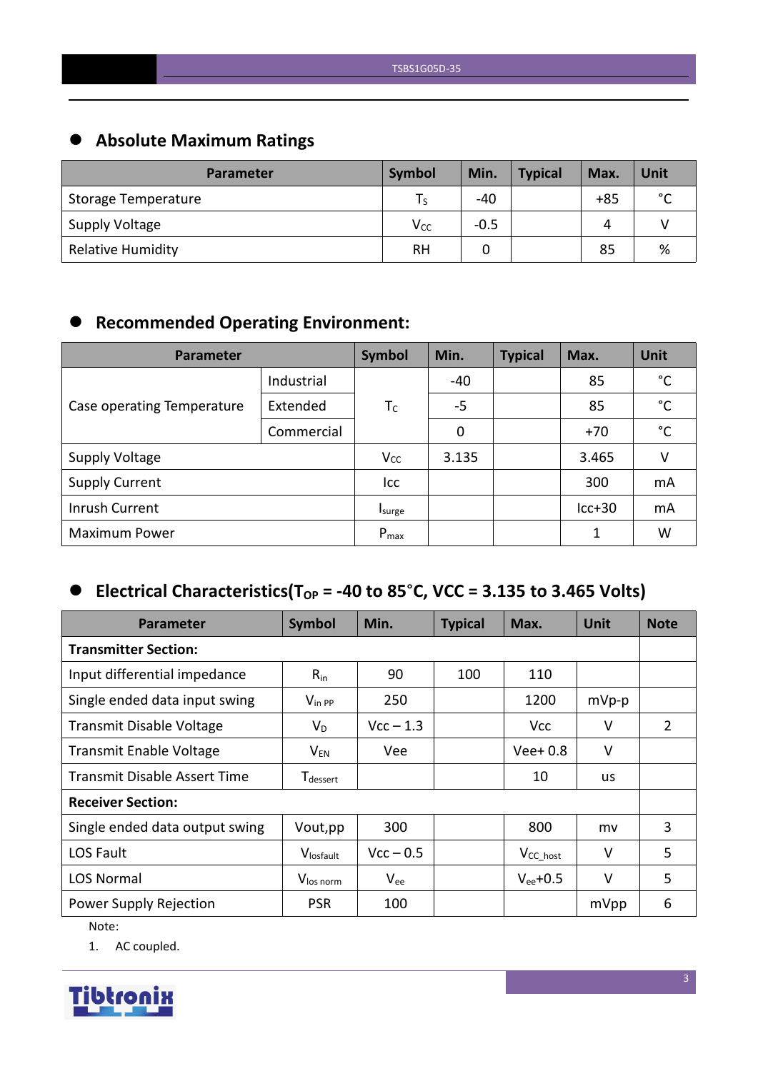## **Absolute Maximum Ratings**

| <b>Parameter</b>         | <b>Symbol</b>   | Min.   | <b>Typical</b> | Max.  | Unit        |
|--------------------------|-----------------|--------|----------------|-------|-------------|
| Storage Temperature      |                 | $-40$  |                | $+85$ | $\sim$<br>◡ |
| <b>Supply Voltage</b>    | V <sub>cc</sub> | $-0.5$ |                | Δ     |             |
| <b>Relative Humidity</b> | <b>RH</b>       |        |                | 85    | %           |

## **Recommended Operating Environment:**

| <b>Parameter</b>           | Symbol     | Min.      | <b>Typical</b> | Max. | Unit     |              |
|----------------------------|------------|-----------|----------------|------|----------|--------------|
|                            | Industrial |           | $-40$          |      | 85       | $^{\circ}$ C |
| Case operating Temperature | Extended   | $T_c$     | $-5$           |      | 85       | $^{\circ}$ C |
|                            | Commercial |           | 0              |      | $+70$    | $^{\circ}$ C |
| <b>Supply Voltage</b>      |            | $V_{CC}$  | 3.135          |      | 3.465    | V            |
| <b>Supply Current</b>      |            | Icc       |                |      | 300      | mA           |
| Inrush Current             |            | Isurge    |                |      | $lcc+30$ | mA           |
| <b>Maximum Power</b>       |            | $P_{max}$ |                |      | 1        | W            |

## $\bullet$  Electrical Characteristics(T<sub>OP</sub> = -40 to 85°C, VCC = 3.135 to 3.465 Volts)

| <b>Parameter</b>                    | Symbol                      | Min.        | <b>Typical</b> | Max.           | <b>Unit</b> | <b>Note</b> |  |
|-------------------------------------|-----------------------------|-------------|----------------|----------------|-------------|-------------|--|
| <b>Transmitter Section:</b>         |                             |             |                |                |             |             |  |
| Input differential impedance        | $R_{in}$                    | 90          | 100            | 110            |             |             |  |
| Single ended data input swing       | $V_{\text{in PP}}$          | 250         |                | 1200           | $mVp-p$     |             |  |
| <b>Transmit Disable Voltage</b>     | $V_D$                       | $Vcc - 1.3$ |                | <b>Vcc</b>     | V           | 2           |  |
| <b>Transmit Enable Voltage</b>      | $V_{EN}$                    | Vee         |                | $Vee+0.8$      | $\vee$      |             |  |
| <b>Transmit Disable Assert Time</b> | <b>T</b> <sub>dessert</sub> |             |                | 10             | us          |             |  |
| <b>Receiver Section:</b>            |                             |             |                |                |             |             |  |
| Single ended data output swing      | Vout, pp                    | 300         |                | 800            | mv          | 3           |  |
| LOS Fault                           | Vlosfault                   | $Vcc - 0.5$ |                | $V_{CC\_host}$ | $\vee$      | 5           |  |
| <b>LOS Normal</b>                   | V <sub>los norm</sub>       | $V_{ee}$    |                | $V_{ee}$ +0.5  | $\vee$      | 5           |  |
| Power Supply Rejection              | <b>PSR</b>                  | 100         |                |                | mVpp        | 6           |  |

Note:

1. AC coupled.

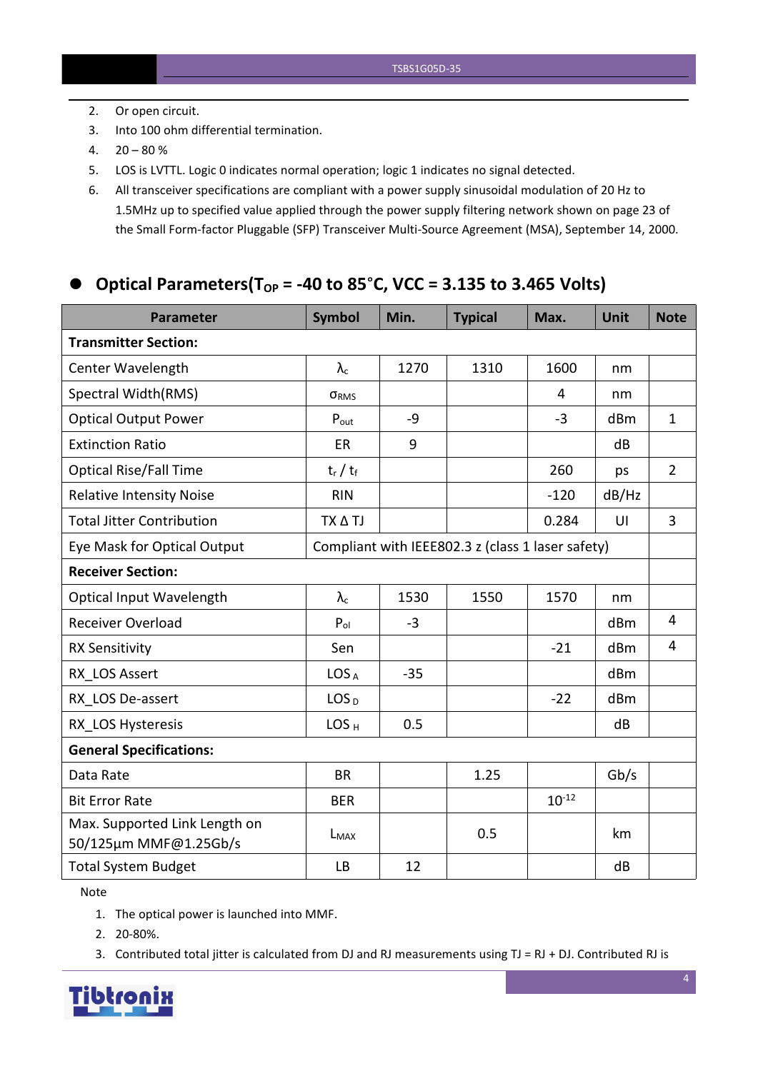- 2. Or open circuit.
- 3. Into 100 ohm differential termination.
- $4. \quad 20 80 \%$
- 5. LOS is LVTTL. Logic 0 indicates normal operation; logic 1 indicates no signal detected.
- 6. All transceiver specifications are compliant with a power supply sinusoidalmodulation of 20 Hz to 1.5MHz up to specified value applied through the powersupply filtering network shown on page 23 of the Small Form-factor Pluggable (SFP) Transceiver Multi-Source Agreement (MSA), September 14, 2000.

## **Optical Parameters(TOP = -40 to 85**°**C, VCC = 3.135 to 3.465 Volts)**

| <b>Parameter</b>                                                                 | <b>Symbol</b>     | Min.  | <b>Typical</b> | Max.       | <b>Unit</b> | <b>Note</b>    |
|----------------------------------------------------------------------------------|-------------------|-------|----------------|------------|-------------|----------------|
| <b>Transmitter Section:</b>                                                      |                   |       |                |            |             |                |
| Center Wavelength                                                                | $\lambda_{\rm c}$ | 1270  | 1310           | 1600       | nm          |                |
| Spectral Width(RMS)                                                              | ORMS              |       |                | 4          | nm          |                |
| <b>Optical Output Power</b>                                                      | $P_{\text{out}}$  | $-9$  |                | $-3$       | dBm         | $\mathbf{1}$   |
| <b>Extinction Ratio</b>                                                          | ER                | 9     |                |            | dB          |                |
| <b>Optical Rise/Fall Time</b>                                                    | $t_r / t_f$       |       |                | 260        | ps          | $\overline{2}$ |
| <b>Relative Intensity Noise</b>                                                  | <b>RIN</b>        |       |                | $-120$     | dB/Hz       |                |
| <b>Total Jitter Contribution</b>                                                 | TX A TJ           |       |                | 0.284      | U           | $\overline{3}$ |
| Compliant with IEEE802.3 z (class 1 laser safety)<br>Eye Mask for Optical Output |                   |       |                |            |             |                |
| <b>Receiver Section:</b>                                                         |                   |       |                |            |             |                |
| <b>Optical Input Wavelength</b>                                                  | $\lambda_{\rm c}$ | 1530  | 1550           | 1570       | nm          |                |
| <b>Receiver Overload</b>                                                         | $P_{ol}$          | $-3$  |                |            | dBm         | 4              |
| <b>RX Sensitivity</b>                                                            | Sen               |       |                | $-21$      | dBm         | $\overline{4}$ |
| RX LOS Assert                                                                    | LOS <sub>A</sub>  | $-35$ |                |            | dBm         |                |
| RX LOS De-assert                                                                 | LOS <sub>D</sub>  |       |                | $-22$      | dBm         |                |
| RX LOS Hysteresis                                                                | LOS <sub>H</sub>  | 0.5   |                |            | dB          |                |
| <b>General Specifications:</b>                                                   |                   |       |                |            |             |                |
| Data Rate                                                                        | <b>BR</b>         |       | 1.25           |            | Gb/s        |                |
| <b>Bit Error Rate</b>                                                            | <b>BER</b>        |       |                | $10^{-12}$ |             |                |
| Max. Supported Link Length on<br>50/125µm MMF@1.25Gb/s                           | $L_{MAX}$         |       | 0.5            |            | km          |                |
| <b>Total System Budget</b>                                                       | <b>LB</b>         | 12    |                |            | dB          |                |

Note

- 1. The optical power is launched into MMF.
- 2. 20-80%.
- 3. Contributed total jitter is calculated from DJ and RJ measurements using TJ = RJ + DJ. Contributed RJ is

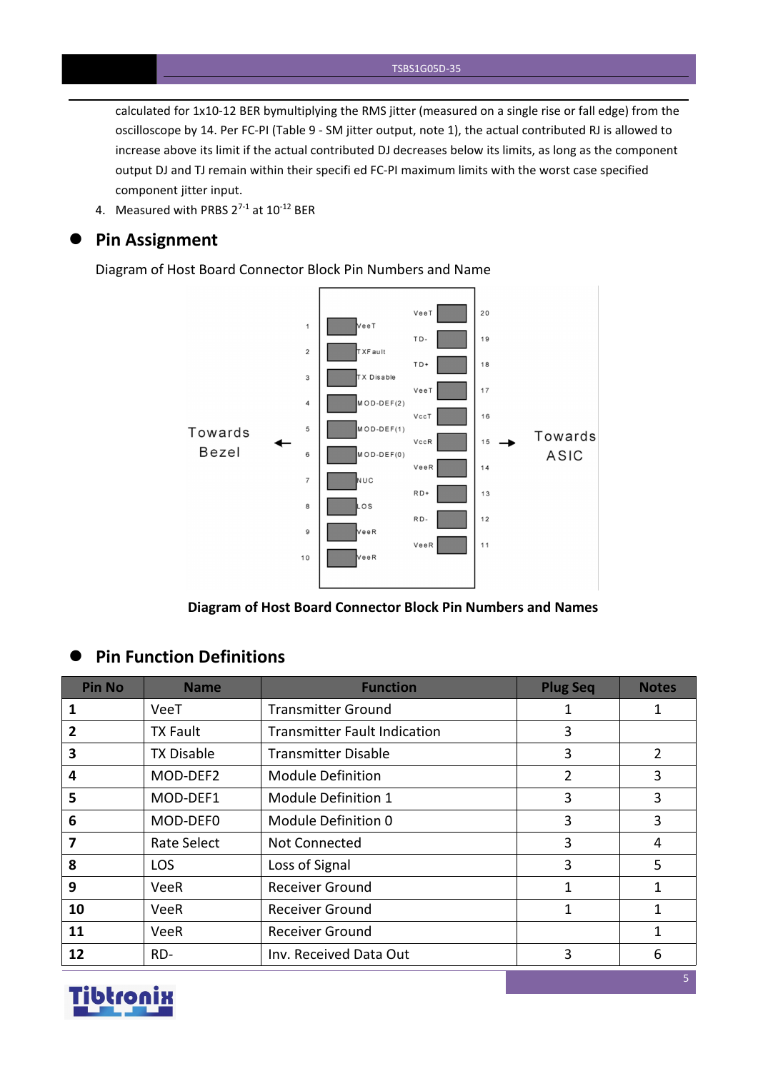calculated for 1x10-12 BER bymultiplying the RMS jitter (measured on a single rise or fall edge) from the oscilloscope by 14. Per FC-PI (Table 9 - SM jitter output, note 1), the actual contributed RJ is allowed to increase above its limit if the actual contributed DJ decreases below its limits, as long as the component output DJ and TJ remain within their specifi ed FC-PI maximum limits with the worst case specified component jitter input.

4. Measured with PRBS  $2^{7-1}$  at  $10^{-12}$  BER

#### **Pin Assignment**

Diagram of Host Board Connector Block Pin Numbers and Name



**Diagram of Host Board Connector Block Pin Numbers and Names**

### **Pin Function Definitions**

| <b>Pin No</b> | <b>Name</b>       | <b>Function</b>                     | <b>Plug Seq</b> | <b>Notes</b>   |
|---------------|-------------------|-------------------------------------|-----------------|----------------|
| 1             | VeeT              | <b>Transmitter Ground</b>           | 1               | 1              |
| 2             | <b>TX Fault</b>   | <b>Transmitter Fault Indication</b> | 3               |                |
| 3             | <b>TX Disable</b> | <b>Transmitter Disable</b>          | 3               | $\overline{2}$ |
| 4             | MOD-DEF2          | <b>Module Definition</b>            | 2               | 3              |
| 5             | MOD-DEF1          | Module Definition 1                 | 3               | 3              |
| 6             | MOD-DEF0          | Module Definition 0                 | 3               | 3              |
| 7             | Rate Select       | Not Connected                       | 3               | 4              |
| 8             | <b>LOS</b>        | Loss of Signal                      | 3               | 5              |
| 9             | VeeR              | <b>Receiver Ground</b>              | 1               |                |
| 10            | VeeR              | <b>Receiver Ground</b>              | 1               | 1              |
| 11            | <b>VeeR</b>       | <b>Receiver Ground</b>              |                 | 1              |
| 12            | RD-               | Inv. Received Data Out              | 3               | 6              |

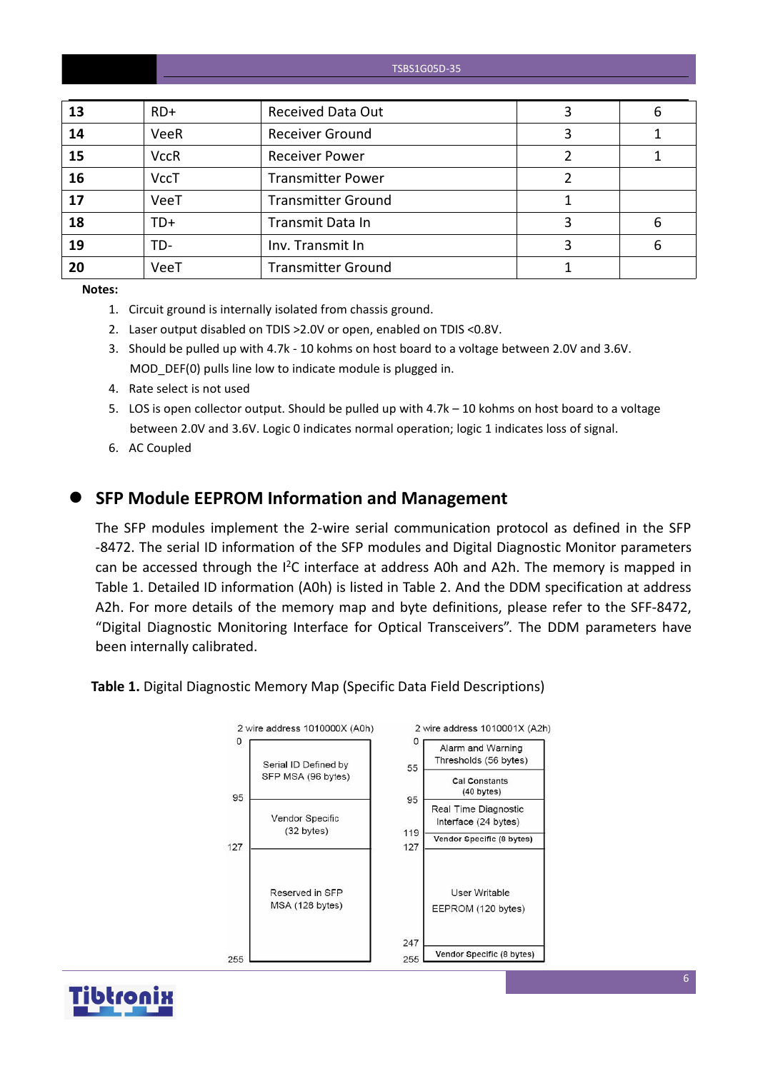#### TSBS1G05D-35

| 13 | $RD+$       | <b>Received Data Out</b>  | 6 |
|----|-------------|---------------------------|---|
| 14 | VeeR        | <b>Receiver Ground</b>    |   |
| 15 | <b>VccR</b> | <b>Receiver Power</b>     |   |
| 16 | <b>VccT</b> | <b>Transmitter Power</b>  |   |
| 17 | VeeT        | <b>Transmitter Ground</b> |   |
| 18 | TD+         | Transmit Data In          | 6 |
| 19 | TD-         | Inv. Transmit In          | 6 |
| 20 | VeeT        | <b>Transmitter Ground</b> |   |

**Notes:**

- 1. Circuit ground is internally isolated from chassis ground.
- 2. Laser output disabled on TDIS >2.0V or open, enabled on TDIS <0.8V.
- 3. Should be pulled up with 4.7k 10 kohms on host board to a voltage between 2.0V and 3.6V. MOD DEF(0) pulls line low to indicate module is plugged in.
- 4. Rate select is not used
- 5. LOS is open collector output. Should be pulled up with 4.7k 10 kohms on host board to a voltage between 2.0V and 3.6V. Logic 0 indicates normal operation; logic 1 indicates loss of signal.
- 6. AC Coupled

#### **SFP Module EEPROM Information and Management**

The SFP modules implement the 2-wire serial communication protocol as defined in the SFP -8472. The serial ID information of the SFP modules and Digital Diagnostic Monitor parameters can be accessed through the  $I^2C$  interface at address A0h and A2h. The memory is mapped in Table 1. Detailed ID information (A0h) is listed in Table 2. And the DDM specification at address A2h. For more details of the memory map and byte definitions, please refer to the SFF-8472, "Digital Diagnostic Monitoring Interface for Optical Transceivers". The DDM parameters have been internally calibrated.

**Table 1.** Digital Diagnostic Memory Map (Specific Data Field Descriptions)



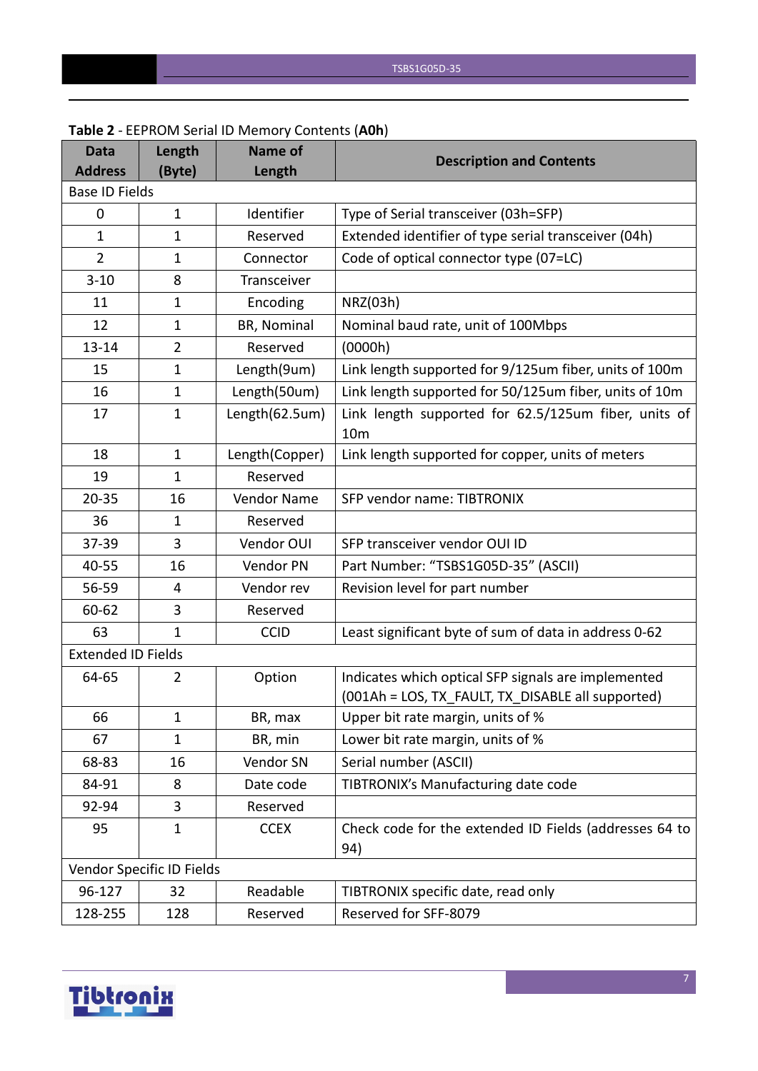| <b>Data</b><br><b>Address</b> | Length<br>(Byte)          | <b>Name of</b><br>Length | <b>Description and Contents</b>                                         |
|-------------------------------|---------------------------|--------------------------|-------------------------------------------------------------------------|
| <b>Base ID Fields</b>         |                           |                          |                                                                         |
| 0                             | $\mathbf{1}$              | Identifier               | Type of Serial transceiver (03h=SFP)                                    |
| $\mathbf{1}$                  | $\mathbf{1}$              | Reserved                 | Extended identifier of type serial transceiver (04h)                    |
| $\overline{2}$                | $\mathbf{1}$              | Connector                | Code of optical connector type (07=LC)                                  |
| $3 - 10$                      | 8                         | Transceiver              |                                                                         |
| 11                            | $\mathbf{1}$              | Encoding                 | NRZ(03h)                                                                |
| 12                            | $\mathbf{1}$              | BR, Nominal              | Nominal baud rate, unit of 100Mbps                                      |
| $13 - 14$                     | $\overline{2}$            | Reserved                 | (0000h)                                                                 |
| 15                            | 1                         | Length(9um)              | Link length supported for 9/125um fiber, units of 100m                  |
| 16                            | $\mathbf{1}$              | Length(50um)             | Link length supported for 50/125um fiber, units of 10m                  |
| 17                            | $\mathbf{1}$              | Length(62.5um)           | Link length supported for 62.5/125um fiber, units of<br>10 <sub>m</sub> |
| 18                            | $\mathbf{1}$              | Length(Copper)           | Link length supported for copper, units of meters                       |
| 19                            | $\mathbf{1}$              | Reserved                 |                                                                         |
| $20 - 35$                     | 16                        | Vendor Name              | SFP vendor name: TIBTRONIX                                              |
| 36                            | 1                         | Reserved                 |                                                                         |
| 37-39                         | 3                         | Vendor OUI               | SFP transceiver vendor OUI ID                                           |
| 40-55                         | 16                        | Vendor PN                | Part Number: "TSBS1G05D-35" (ASCII)                                     |
| 56-59                         | 4                         | Vendor rev               | Revision level for part number                                          |
| 60-62                         | 3                         | Reserved                 |                                                                         |
| 63                            | $\mathbf{1}$              | <b>CCID</b>              | Least significant byte of sum of data in address 0-62                   |
| <b>Extended ID Fields</b>     |                           |                          |                                                                         |
| 64-65                         | $\overline{2}$            | Option                   | Indicates which optical SFP signals are implemented                     |
|                               |                           |                          | (001Ah = LOS, TX_FAULT, TX_DISABLE all supported)                       |
| 66                            | 1                         | BR, max                  | Upper bit rate margin, units of %                                       |
| 67                            | $\mathbf{1}$              | BR, min                  | Lower bit rate margin, units of %                                       |
| 68-83                         | 16                        | Vendor SN                | Serial number (ASCII)                                                   |
| 84-91                         | 8                         | Date code                | TIBTRONIX's Manufacturing date code                                     |
| 92-94                         | 3                         | Reserved                 |                                                                         |
| 95                            | $\mathbf{1}$              | <b>CCEX</b>              | Check code for the extended ID Fields (addresses 64 to<br>94)           |
|                               | Vendor Specific ID Fields |                          |                                                                         |
| 96-127                        | 32                        | Readable                 | TIBTRONIX specific date, read only                                      |
| 128-255                       | 128                       | Reserved                 | Reserved for SFF-8079                                                   |

#### **Table 2** - EEPROM Serial ID Memory Contents (**A0h**)

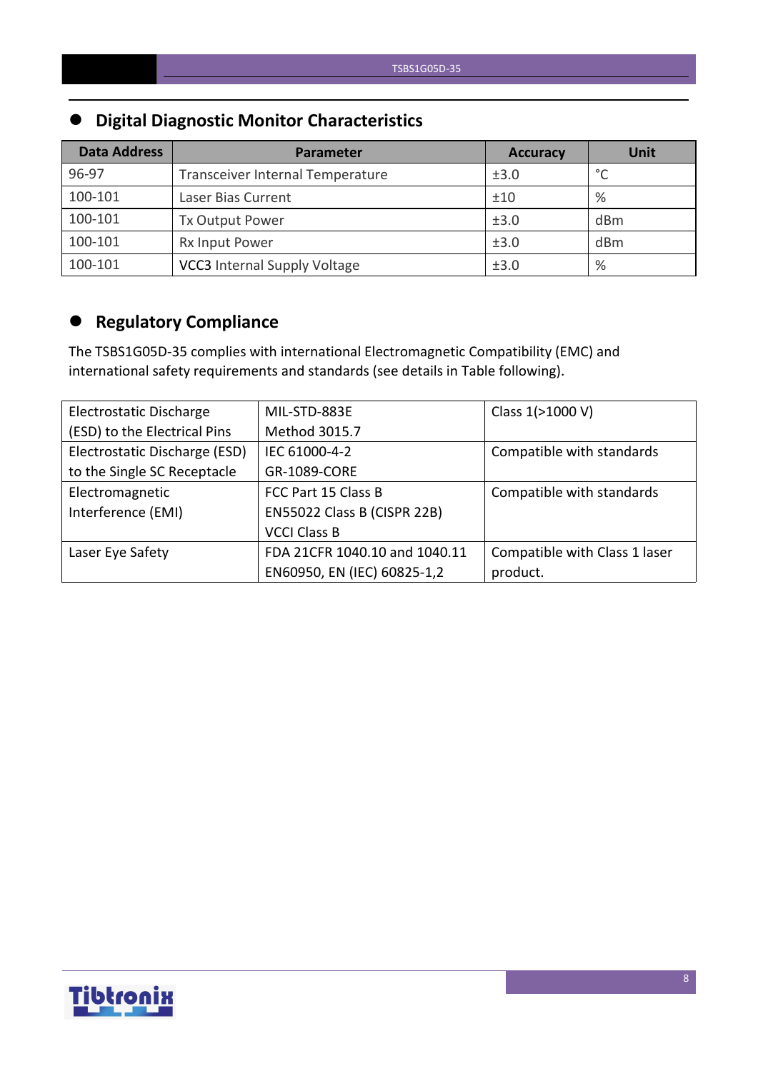## **Digital Diagnostic Monitor Characteristics**

| <b>Data Address</b> | <b>Parameter</b>                    | <b>Accuracy</b> | <b>Unit</b> |
|---------------------|-------------------------------------|-----------------|-------------|
| 96-97               | Transceiver Internal Temperature    | ±3.0            | $\circ$     |
| 100-101             | Laser Bias Current                  | ±10             | %           |
| 100-101             | Tx Output Power                     | ±3.0            | dBm         |
| 100-101             | Rx Input Power                      | ±3.0            | dBm         |
| 100-101             | <b>VCC3</b> Internal Supply Voltage | ±3.0            | %           |

## **Regulatory Compliance**

The TSBS1G05D-35 complies with international Electromagnetic Compatibility (EMC) and international safety requirements and standards (see details in Table following).

| Electrostatic Discharge       | MIL-STD-883E                  | Class 1(>1000 V)              |
|-------------------------------|-------------------------------|-------------------------------|
| (ESD) to the Electrical Pins  | Method 3015.7                 |                               |
| Electrostatic Discharge (ESD) | IEC 61000-4-2                 | Compatible with standards     |
| to the Single SC Receptacle   | GR-1089-CORE                  |                               |
| Electromagnetic               | FCC Part 15 Class B           | Compatible with standards     |
| Interference (EMI)            | EN55022 Class B (CISPR 22B)   |                               |
|                               | <b>VCCI Class B</b>           |                               |
| Laser Eye Safety              | FDA 21CFR 1040.10 and 1040.11 | Compatible with Class 1 laser |
|                               | EN60950, EN (IEC) 60825-1,2   | product.                      |

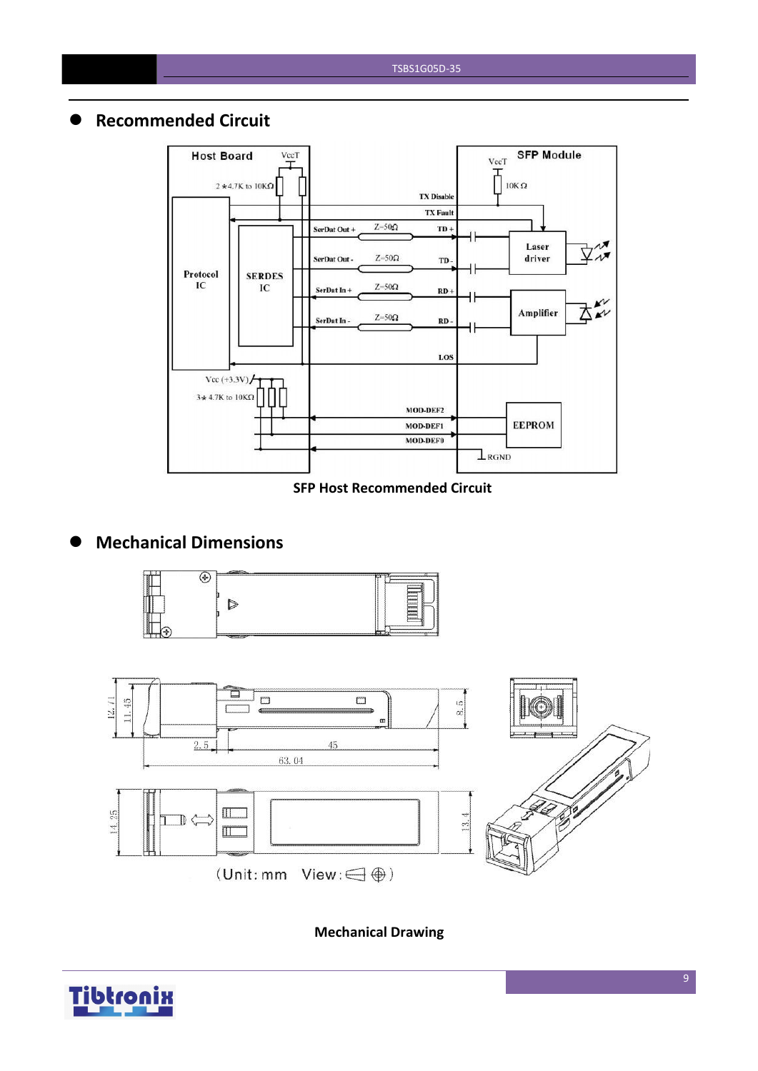## **Recommended Circuit**



#### **SFP Host Recommended Circuit**

## **Mechanical Dimensions**





**Mechanical Drawing**